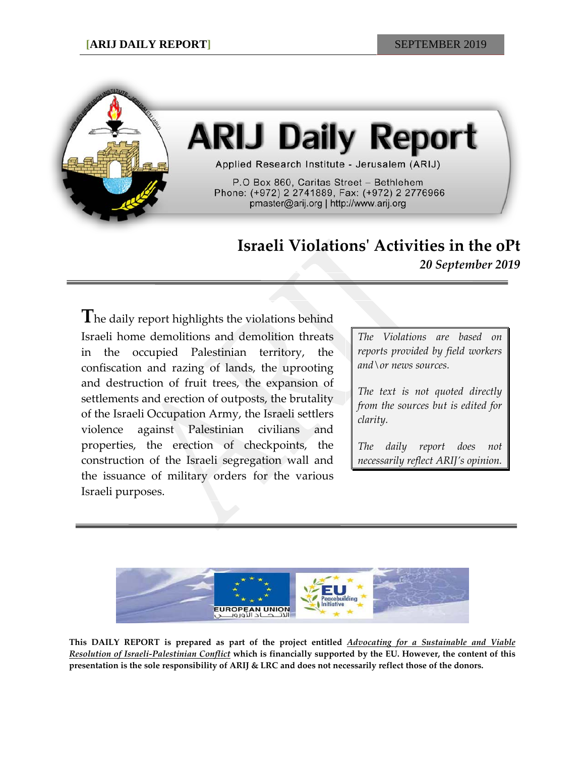

## **ARIJ Daily Report**

Applied Research Institute - Jerusalem (ARIJ)

P.O Box 860, Caritas Street - Bethlehem Phone: (+972) 2 2741889, Fax: (+972) 2 2776966 pmaster@arij.org | http://www.arij.org

## **Israeli Violations' Activities in the oPt**

*20 September 2019*

**T**he daily report highlights the violations behind Israeli home demolitions and demolition threats in the occupied Palestinian territory, the confiscation and razing of lands, the uprooting and destruction of fruit trees, the expansion of settlements and erection of outposts, the brutality of the Israeli Occupation Army, the Israeli settlers violence against Palestinian civilians and properties, the erection of checkpoints, the construction of the Israeli segregation wall and the issuance of military orders for the various Israeli purposes.

*The Violations are based on reports provided by field workers and\or news sources.*

*The text is not quoted directly from the sources but is edited for clarity.*

*The daily report does not necessarily reflect ARIJ's opinion.*



**This DAILY REPORT is prepared as part of the project entitled** *Advocating for a Sustainable and Viable Resolution of Israeli-Palestinian Conflict* **which is financially supported by the EU. However, the content of this presentation is the sole responsibility of ARIJ & LRC and does not necessarily reflect those of the donors.**